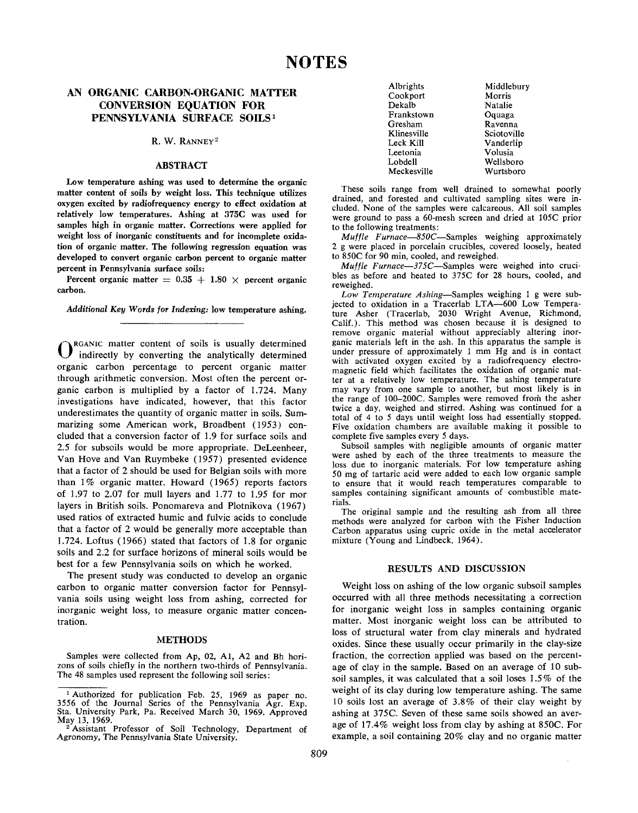# **AN ORGANIC CARBON-ORGANIC MATTER CONVERSION EQUATION FOR PENNSYLVANIA SURFACE SOILS<sup>1</sup>**

# R. W. RANNEY<sup>2</sup>

## **ABSTRACT**

**Low temperature ashing was used to determine the organic matter content of soils by weight loss. This technique utilizes oxygen excited by radiofrequency energy to effect oxidation at relatively low temperatures. Ashing at 375C was used for samples high in organic matter. Corrections were applied for weight loss of inorganic constituents and for incomplete oxidation of organic matter. The following regression equation was developed to convert organic carbon percent to organic matter percent in Pennsylvania surface soils:**

Percent organic matter  $= 0.35 + 1.80 \times$  percent organic **carbon.**

*Additional Key* **Words** *for Indexing:* **low temperature ashing.**

 $\mathbf{O}^{\mathsf{I}}$ RGANIC matter content of soils is usually determined indirectly by converting the analytically determined organic carbon percentage to percent organic matter through arithmetic conversion. Most often the percent organic carbon is multiplied by a factor of 1.724. Many investigations have indicated, however, that this factor underestimates the quantity of organic matter in soils. Summarizing some American work, Broadbent (1953) concluded that a conversion factor of 1.9 for surface soils and 2.5 for subsoils would be more appropriate. DeLeenheer, Van Hove and Van Ruymbeke (1957) presented evidence that a factor of 2 should be used for Belgian soils with more than 1% organic matter. Howard (1965) reports factors of 1.97 to 2.07 for mull layers and 1.77 to 1.95 for mor layers in British soils. Ponomareva and Plotnikova (1967) used ratios of extracted humic and fulvic acids to conclude that a factor of 2 would be generally more acceptable than 1.724. Loftus (1966) stated that factors of 1.8 for organic soils and 2.2 for surface horizons of mineral soils would be best for a few Pennsylvania soils on which he worked.

The present study was conducted to develop an organic carbon to organic matter conversion factor for Pennsylvania soils using weight loss from ashing, corrected for inorganic weight loss, to measure organic matter concentration.

#### **METHODS**

Samples were collected from Ap, 02, Al, A2 and Bh horizons of soils chiefly in the northern two-thirds of Pennsylvania. The 48 samples used represent the following soil series:

| Albrights   | Middleburv  |
|-------------|-------------|
| Cookport    | Morris      |
| Dekalb      | Natalie     |
| Frankstown  | Oquaga      |
| Gresham     | Ravenna     |
| Klinesville | Sciotoville |
| Leck Kill   | Vanderlip   |
| Leetonia    | Volusia     |
| Lobdell     | Wellsboro   |
| Meckesville | Wurtsboro   |

De

Gre Kli Lee

 $L_0$ 

These soils range from well drained to somewhat poorly drained, and forested and cultivated sampling sites were included. None of the samples were calcareous. All soil samples were ground to pass a 60-mesh screen and dried at 105C prior to the following treatments:

*Muffle Furnace—850C—*Samples weighing approximately 2 g were placed in porcelain crucibles, covered loosely, heated to 850C for 90 min, cooled, and reweighed.

*Muffle Furnace—375C—*Samples were weighed into crucibles as before and heated to 375C for 28 hours, cooled, and reweighed.

*Low Temperature Ashing—*Samples weighing 1 g were subjected to oxidation in a Tracerlab LTA—600 Low Temperature Asher (Tracerlab, 2030 Wright Avenue, Richmond, Calif.). This method was chosen because it is designed to remove organic material without appreciably altering inorganic materials left in the ash. In this apparatus the sample is under pressure of approximately 1 mm Hg and is in contact with activated oxygen excited by a radiofrequency electromagnetic field which facilitates the oxidation of organic matter at a relatively low temperature. The ashing temperature may vary from one sample to another, but most likely is in the range of 100-200C. Samples were removed from the asher twice a day, weighed and stirred. Ashing was continued for a total of 4 to 5 days until weight loss had essentially stopped. Five oxidation chambers are available making it possible to complete five samples every 5 days.

Subsoil samples with negligible amounts of organic matter were ashed by each of the three treatments to measure the loss due to inorganic materials. For low temperature ashing 50 mg of tartaric acid were added to each low organic sample to ensure that it would reach temperatures comparable to samples containing significant amounts of combustible materials.

The original sample and the resulting ash from all three methods were analyzed for carbon with the Fisher Induction Carbon apparatus using cupric oxide in the metal accelerator mixture (Young and Lindbeck, 1964).

#### **RESULTS AND DISCUSSION**

Weight loss on ashing of the low organic subsoil samples occurred with all three methods necessitating a correction for inorganic weight loss in samples containing organic matter. Most inorganic weight loss can be attributed to loss of structural water from clay minerals and hydrated oxides. Since these usually occur primarily in the clay-size fraction, the correction applied was based on the percentage of clay in the sample. Based on an average of 10 subsoil samples, it was calculated that a soil loses 1.5% of the weight of its clay during low temperature ashing. The same 10 soils lost an average of 3.8% of their clay weight by ashing at 375C. Seven of these same soils showed an average of 17.4% weight loss from clay by ashing at 850C. For example, a soil containing 20% clay and no organic matter

<sup>&</sup>lt;sup>1</sup> Authorized for publication Feb. 25, 1969 as paper no. 3556 of the Journal Series of the Pennsylvania Agr. Exp. Sta. University Park, Pa. Received March 30, 1969. Approved May 13, 1969.

<sup>&</sup>lt;sup>2</sup> Assistant Professor of Soil Technology, Department of Agronomy, The Pennsylvania State University.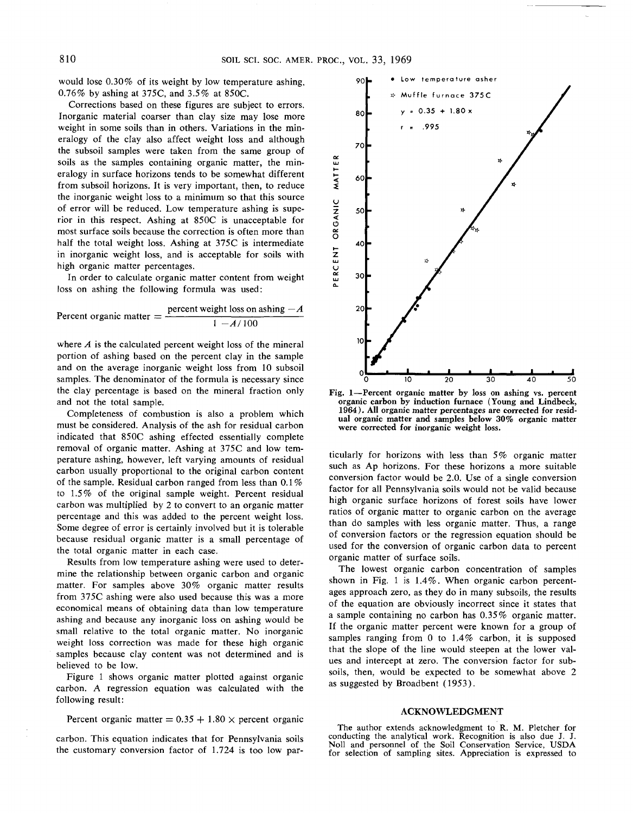would lose 0.30% of its weight by low temperature ashing, 0.76% by ashing at 375C, and 3.5% at 850C.

Corrections based on these figures are subject to errors. Inorganic material coarser than clay size may lose more weight in some soils than in others. Variations in the mineralogy of the clay also affect weight loss and although the subsoil samples were taken from the same group of soils as the samples containing organic matter, the mineralogy in surface horizons tends to be somewhat different from subsoil horizons. It is very important, then, to reduce the inorganic weight loss to a minimum so that this source of error will be reduced. Low temperature ashing is superior in this respect. Ashing at 850C is unacceptable for most surface soils because the correction is often more than half the total weight loss. Ashing at 375C is intermediate in inorganic weight loss, and is acceptable for soils with high organic matter percentages.

In order to calculate organic matter content from weight loss on ashing the following formula was used:

Percent organic matter = 
$$
\frac{\text{percent weight loss on asking} - A}{1 - A/100}
$$

where *A* is the calculated percent weight loss of the mineral portion of ashing based on the percent clay in the sample and on the average inorganic weight loss from 10 subsoil samples. The denominator of the formula is necessary since the clay percentage is based on the mineral fraction only and not the total sample.

Completeness of combustion is also a problem which must be considered. Analysis of the ash for residual carbon indicated that 850C ashing effected essentially complete removal of organic matter. Ashing at 375C and low temperature ashing, however, left varying amounts of residual carbon usually proportional to the original carbon content of the sample. Residual carbon ranged from less than 0.1 % to 1.5% of the original sample weight. Percent residual carbon was multiplied by 2 to convert to an organic matter percentage and this was added to the percent weight loss. Some degree of error is certainly involved but it is tolerable because residual organic matter is a small percentage of the total organic matter in each case.

Results from low temperature ashing were used to determine the relationship between organic carbon and organic matter. For samples above 30% organic matter results from 375C ashing were also used because this was a more economical means of obtaining data than low temperature ashing and because any inorganic loss on ashing would be small relative to the total organic matter. No inorganic weight loss correction was made for these high organic samples because clay content was not determined and is believed to be low.

Figure 1 shows organic matter plotted against organic carbon. A regression equation was calculated with the following result:

Percent organic matter  $= 0.35 + 1.80 \times$  percent organic

carbon. This equation indicates that for Pennsylvania soils the customary conversion factor of 1.724 is too low par-



**Fig. 1—Percent organic matter by loss on ashing vs. percent organic carbon by induction furnace (Young and Lindbeck, 1964). All organic matter percentages are corrected for residual organic matter and samples below 30% organic matter were corrected for inorganic weight loss.**

ticularly for horizons with less than 5% organic matter such as Ap horizons. For these horizons a more suitable conversion factor would be 2.0. Use of a single conversion factor for all Pennsylvania soils would not be valid because high organic surface horizons of forest soils have lower ratios of organic matter to organic carbon on the average than do samples with less organic matter. Thus, a range of conversion factors or the regression equation should be used for the conversion of organic carbon data to percent organic matter of surface soils.

The lowest organic carbon concentration of samples shown in Fig. 1 is 1.4%. When organic carbon percentages approach zero, as they do in many subsoils, the results of the equation are obviously incorrect since it states that a sample containing no carbon has 0.35% organic matter. If the organic matter percent were known for a group of samples ranging from O to 1.4% carbon, it is supposed that the slope of the line would steepen at the lower values and intercept at zero. The conversion factor for subsoils, then, would be expected to be somewhat above 2 as suggested by Broadbent (1953).

### **ACKNOWLEDGMENT**

The author extends acknowledgment to R. M. Fletcher for conducting the analytical work. Recognition is also due J. J. Noll and personnel of the Soil Conservation Service, USDA for selection of sampling sites. Appreciation is expressed to